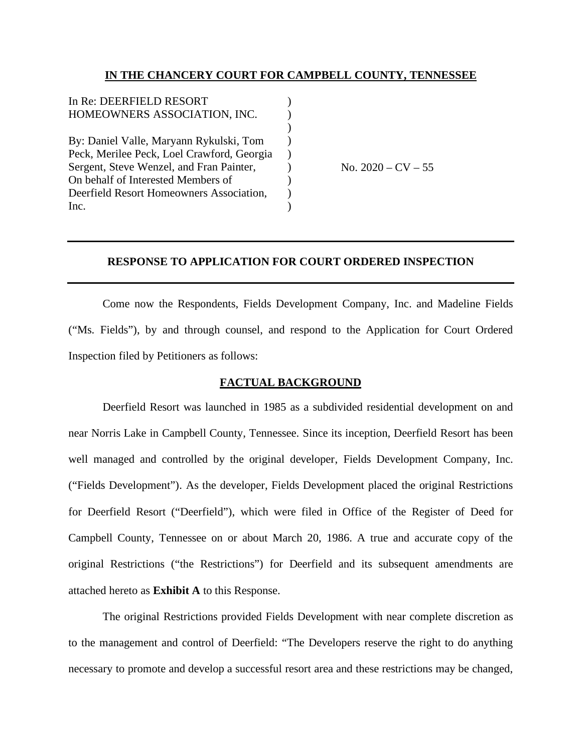# **IN THE CHANCERY COURT FOR CAMPBELL COUNTY, TENNESSEE**

| In Re: DEERFIELD RESORT                    |  |
|--------------------------------------------|--|
| HOMEOWNERS ASSOCIATION, INC.               |  |
|                                            |  |
| By: Daniel Valle, Maryann Rykulski, Tom    |  |
| Peck, Merilee Peck, Loel Crawford, Georgia |  |
| Sergent, Steve Wenzel, and Fran Painter,   |  |
| On behalf of Interested Members of         |  |
| Deerfield Resort Homeowners Association,   |  |
| Inc.                                       |  |
|                                            |  |

No.  $2020 - CV - 55$ 

# **RESPONSE TO APPLICATION FOR COURT ORDERED INSPECTION**

Come now the Respondents, Fields Development Company, Inc. and Madeline Fields ("Ms. Fields"), by and through counsel, and respond to the Application for Court Ordered Inspection filed by Petitioners as follows:

### **FACTUAL BACKGROUND**

Deerfield Resort was launched in 1985 as a subdivided residential development on and near Norris Lake in Campbell County, Tennessee. Since its inception, Deerfield Resort has been well managed and controlled by the original developer, Fields Development Company, Inc. ("Fields Development"). As the developer, Fields Development placed the original Restrictions for Deerfield Resort ("Deerfield"), which were filed in Office of the Register of Deed for Campbell County, Tennessee on or about March 20, 1986. A true and accurate copy of the original Restrictions ("the Restrictions") for Deerfield and its subsequent amendments are attached hereto as **Exhibit A** to this Response.

The original Restrictions provided Fields Development with near complete discretion as to the management and control of Deerfield: "The Developers reserve the right to do anything necessary to promote and develop a successful resort area and these restrictions may be changed,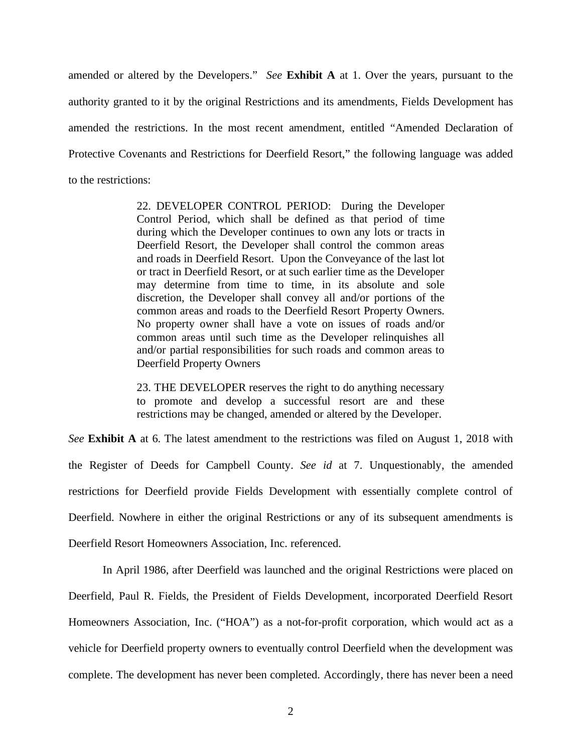amended or altered by the Developers." *See* **Exhibit A** at 1. Over the years, pursuant to the authority granted to it by the original Restrictions and its amendments, Fields Development has amended the restrictions. In the most recent amendment, entitled "Amended Declaration of Protective Covenants and Restrictions for Deerfield Resort," the following language was added to the restrictions:

> 22. DEVELOPER CONTROL PERIOD: During the Developer Control Period, which shall be defined as that period of time during which the Developer continues to own any lots or tracts in Deerfield Resort, the Developer shall control the common areas and roads in Deerfield Resort. Upon the Conveyance of the last lot or tract in Deerfield Resort, or at such earlier time as the Developer may determine from time to time, in its absolute and sole discretion, the Developer shall convey all and/or portions of the common areas and roads to the Deerfield Resort Property Owners. No property owner shall have a vote on issues of roads and/or common areas until such time as the Developer relinquishes all and/or partial responsibilities for such roads and common areas to Deerfield Property Owners

> 23. THE DEVELOPER reserves the right to do anything necessary to promote and develop a successful resort are and these restrictions may be changed, amended or altered by the Developer.

*See* **Exhibit A** at 6. The latest amendment to the restrictions was filed on August 1, 2018 with the Register of Deeds for Campbell County. *See id* at 7. Unquestionably, the amended restrictions for Deerfield provide Fields Development with essentially complete control of Deerfield. Nowhere in either the original Restrictions or any of its subsequent amendments is Deerfield Resort Homeowners Association, Inc. referenced.

In April 1986, after Deerfield was launched and the original Restrictions were placed on Deerfield, Paul R. Fields, the President of Fields Development, incorporated Deerfield Resort Homeowners Association, Inc. ("HOA") as a not-for-profit corporation, which would act as a vehicle for Deerfield property owners to eventually control Deerfield when the development was complete. The development has never been completed. Accordingly, there has never been a need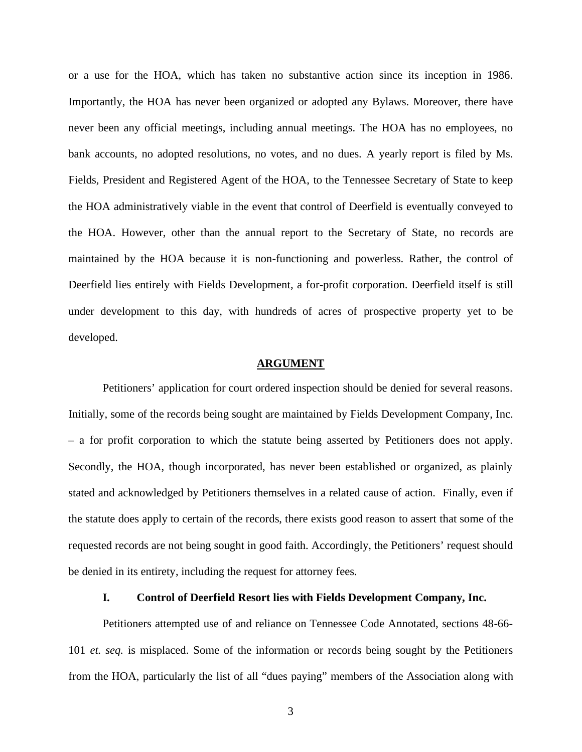or a use for the HOA, which has taken no substantive action since its inception in 1986. Importantly, the HOA has never been organized or adopted any Bylaws. Moreover, there have never been any official meetings, including annual meetings. The HOA has no employees, no bank accounts, no adopted resolutions, no votes, and no dues. A yearly report is filed by Ms. Fields, President and Registered Agent of the HOA, to the Tennessee Secretary of State to keep the HOA administratively viable in the event that control of Deerfield is eventually conveyed to the HOA. However, other than the annual report to the Secretary of State, no records are maintained by the HOA because it is non-functioning and powerless. Rather, the control of Deerfield lies entirely with Fields Development, a for-profit corporation. Deerfield itself is still under development to this day, with hundreds of acres of prospective property yet to be developed.

### **ARGUMENT**

Petitioners' application for court ordered inspection should be denied for several reasons. Initially, some of the records being sought are maintained by Fields Development Company, Inc. – a for profit corporation to which the statute being asserted by Petitioners does not apply. Secondly, the HOA, though incorporated, has never been established or organized, as plainly stated and acknowledged by Petitioners themselves in a related cause of action. Finally, even if the statute does apply to certain of the records, there exists good reason to assert that some of the requested records are not being sought in good faith. Accordingly, the Petitioners' request should be denied in its entirety, including the request for attorney fees.

# **I. Control of Deerfield Resort lies with Fields Development Company, Inc.**

Petitioners attempted use of and reliance on Tennessee Code Annotated, sections 48-66- 101 *et. seq.* is misplaced. Some of the information or records being sought by the Petitioners from the HOA, particularly the list of all "dues paying" members of the Association along with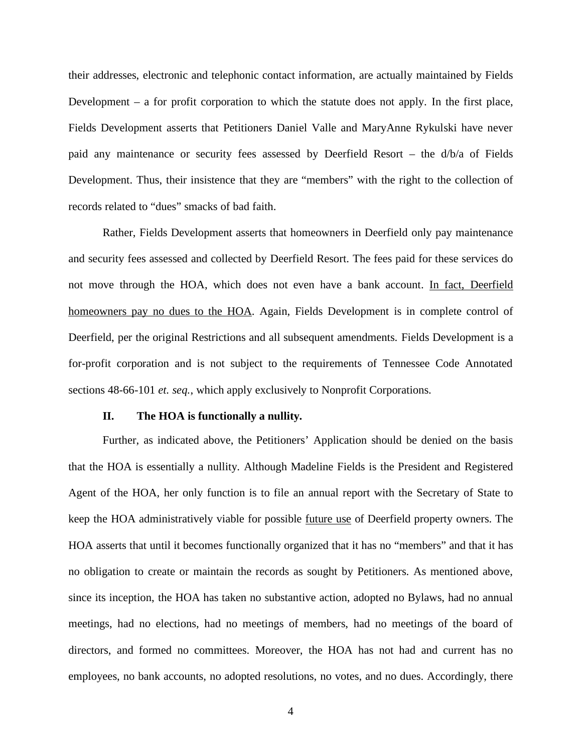their addresses, electronic and telephonic contact information, are actually maintained by Fields Development – a for profit corporation to which the statute does not apply. In the first place, Fields Development asserts that Petitioners Daniel Valle and MaryAnne Rykulski have never paid any maintenance or security fees assessed by Deerfield Resort – the d/b/a of Fields Development. Thus, their insistence that they are "members" with the right to the collection of records related to "dues" smacks of bad faith.

Rather, Fields Development asserts that homeowners in Deerfield only pay maintenance and security fees assessed and collected by Deerfield Resort. The fees paid for these services do not move through the HOA, which does not even have a bank account. In fact, Deerfield homeowners pay no dues to the HOA. Again, Fields Development is in complete control of Deerfield, per the original Restrictions and all subsequent amendments. Fields Development is a for-profit corporation and is not subject to the requirements of Tennessee Code Annotated sections 48-66-101 *et. seq.*, which apply exclusively to Nonprofit Corporations.

#### **II. The HOA is functionally a nullity.**

Further, as indicated above, the Petitioners' Application should be denied on the basis that the HOA is essentially a nullity. Although Madeline Fields is the President and Registered Agent of the HOA, her only function is to file an annual report with the Secretary of State to keep the HOA administratively viable for possible future use of Deerfield property owners. The HOA asserts that until it becomes functionally organized that it has no "members" and that it has no obligation to create or maintain the records as sought by Petitioners. As mentioned above, since its inception, the HOA has taken no substantive action, adopted no Bylaws, had no annual meetings, had no elections, had no meetings of members, had no meetings of the board of directors, and formed no committees. Moreover, the HOA has not had and current has no employees, no bank accounts, no adopted resolutions, no votes, and no dues. Accordingly, there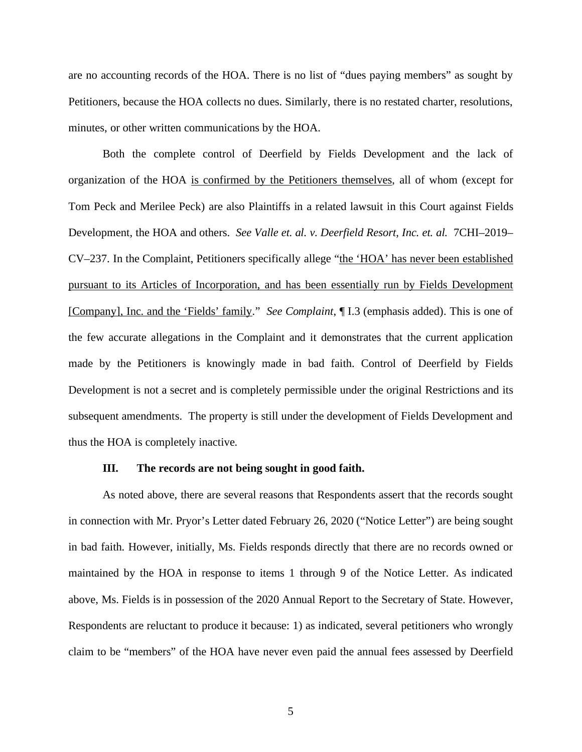are no accounting records of the HOA. There is no list of "dues paying members" as sought by Petitioners, because the HOA collects no dues. Similarly, there is no restated charter, resolutions, minutes, or other written communications by the HOA.

Both the complete control of Deerfield by Fields Development and the lack of organization of the HOA is confirmed by the Petitioners themselves, all of whom (except for Tom Peck and Merilee Peck) are also Plaintiffs in a related lawsuit in this Court against Fields Development, the HOA and others. *See Valle et. al. v. Deerfield Resort, Inc. et. al.* 7CHI–2019– CV–237. In the Complaint, Petitioners specifically allege "the 'HOA' has never been established pursuant to its Articles of Incorporation, and has been essentially run by Fields Development [Company], Inc. and the 'Fields' family." *See Complaint*, ¶ I.3 (emphasis added). This is one of the few accurate allegations in the Complaint and it demonstrates that the current application made by the Petitioners is knowingly made in bad faith. Control of Deerfield by Fields Development is not a secret and is completely permissible under the original Restrictions and its subsequent amendments. The property is still under the development of Fields Development and thus the HOA is completely inactive.

#### **III. The records are not being sought in good faith.**

As noted above, there are several reasons that Respondents assert that the records sought in connection with Mr. Pryor's Letter dated February 26, 2020 ("Notice Letter") are being sought in bad faith. However, initially, Ms. Fields responds directly that there are no records owned or maintained by the HOA in response to items 1 through 9 of the Notice Letter. As indicated above, Ms. Fields is in possession of the 2020 Annual Report to the Secretary of State. However, Respondents are reluctant to produce it because: 1) as indicated, several petitioners who wrongly claim to be "members" of the HOA have never even paid the annual fees assessed by Deerfield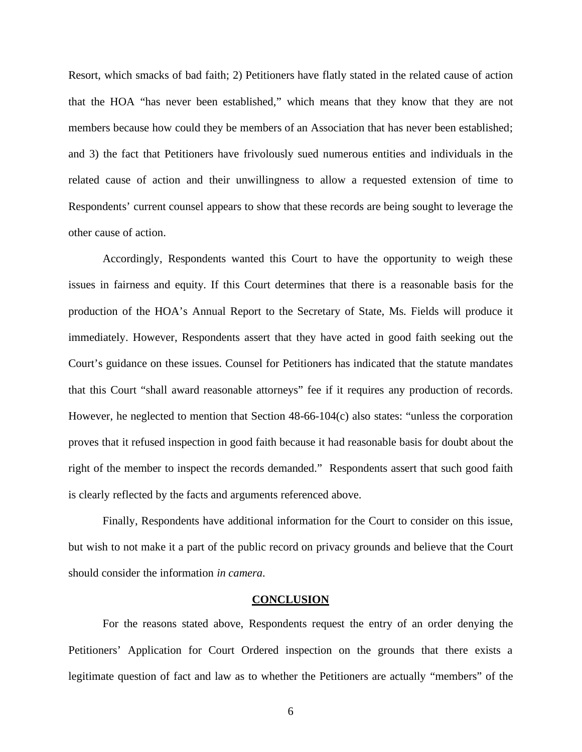Resort, which smacks of bad faith; 2) Petitioners have flatly stated in the related cause of action that the HOA "has never been established," which means that they know that they are not members because how could they be members of an Association that has never been established; and 3) the fact that Petitioners have frivolously sued numerous entities and individuals in the related cause of action and their unwillingness to allow a requested extension of time to Respondents' current counsel appears to show that these records are being sought to leverage the other cause of action.

Accordingly, Respondents wanted this Court to have the opportunity to weigh these issues in fairness and equity. If this Court determines that there is a reasonable basis for the production of the HOA's Annual Report to the Secretary of State, Ms. Fields will produce it immediately. However, Respondents assert that they have acted in good faith seeking out the Court's guidance on these issues. Counsel for Petitioners has indicated that the statute mandates that this Court "shall award reasonable attorneys" fee if it requires any production of records. However, he neglected to mention that Section 48-66-104(c) also states: "unless the corporation proves that it refused inspection in good faith because it had reasonable basis for doubt about the right of the member to inspect the records demanded." Respondents assert that such good faith is clearly reflected by the facts and arguments referenced above.

Finally, Respondents have additional information for the Court to consider on this issue, but wish to not make it a part of the public record on privacy grounds and believe that the Court should consider the information *in camera*.

#### **CONCLUSION**

For the reasons stated above, Respondents request the entry of an order denying the Petitioners' Application for Court Ordered inspection on the grounds that there exists a legitimate question of fact and law as to whether the Petitioners are actually "members" of the

6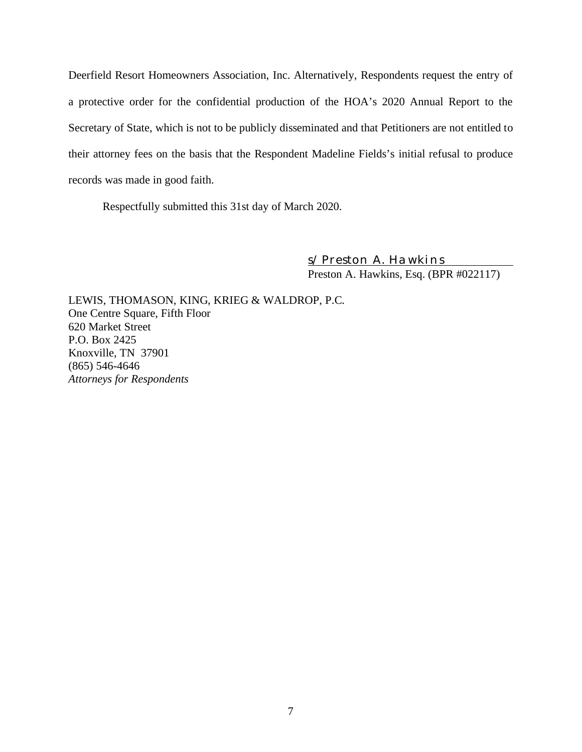Deerfield Resort Homeowners Association, Inc. Alternatively, Respondents request the entry of a protective order for the confidential production of the HOA's 2020 Annual Report to the Secretary of State, which is not to be publicly disseminated and that Petitioners are not entitled to their attorney fees on the basis that the Respondent Madeline Fields's initial refusal to produce records was made in good faith.

Respectfully submitted this 31st day of March 2020.

*s/ Preston A. Hawkins* Preston A. Hawkins, Esq. (BPR #022117)

LEWIS, THOMASON, KING, KRIEG & WALDROP, P.C. One Centre Square, Fifth Floor 620 Market Street P.O. Box 2425 Knoxville, TN 37901 (865) 546-4646 *Attorneys for Respondents*